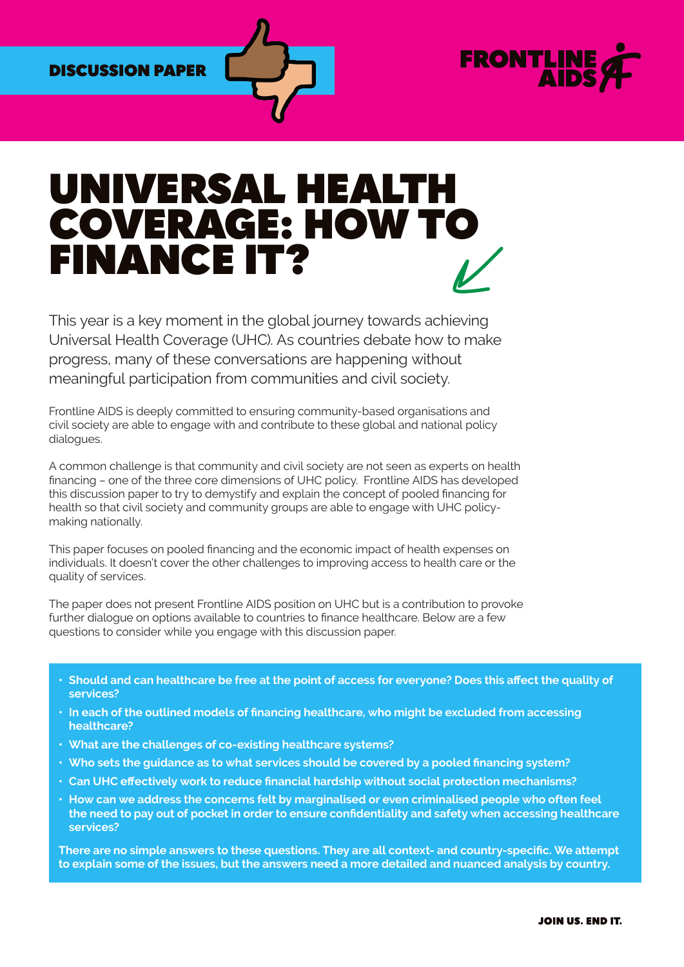## DISCUSSION PAPER



# UNIVERSAL HEALTI COVERAGE: HOW TO FINANCE IT?

This year is a key moment in the global journey towards achieving Universal Health Coverage (UHC). As countries debate how to make progress, many of these conversations are happening without meaningful participation from communities and civil society.

Frontline AIDS is deeply committed to ensuring community-based organisations and civil society are able to engage with and contribute to these global and national policy dialogues.

A common challenge is that community and civil society are not seen as experts on health financing – one of the three core dimensions of UHC policy. Frontline AIDS has developed this discussion paper to try to demystify and explain the concept of pooled financing for health so that civil society and community groups are able to engage with UHC policymaking nationally.

This paper focuses on pooled financing and the economic impact of health expenses on individuals. It doesn't cover the other challenges to improving access to health care or the quality of services.

The paper does not present Frontline AIDS position on UHC but is a contribution to provoke further dialogue on options available to countries to finance healthcare. Below are a few questions to consider while you engage with this discussion paper.

- **• Should and can healthcare be free at the point of access for everyone? Does this affect the quality of services?**
- **• In each of the outlined models of financing healthcare, who might be excluded from accessing healthcare?**
- **• What are the challenges of co-existing healthcare systems?**
- **• Who sets the guidance as to what services should be covered by a pooled financing system?**
- **• Can UHC effectively work to reduce financial hardship without social protection mechanisms?**
- **• How can we address the concerns felt by marginalised or even criminalised people who often feel the need to pay out of pocket in order to ensure confidentiality and safety when accessing healthcare services?**

**There are no simple answers to these questions. They are all context- and country-specific. We attempt to explain some of the issues, but the answers need a more detailed and nuanced analysis by country.**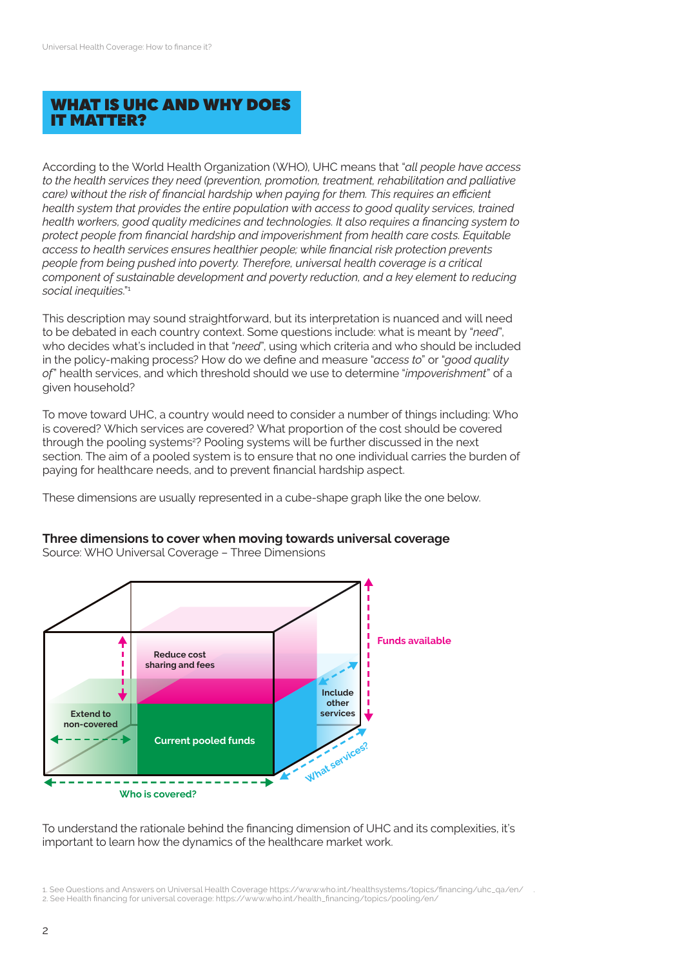# WHAT IS UHC AND WHY DOES IT MATTER?

According to the World Health Organization (WHO), UHC means that "*all people have access to the health services they need (prevention, promotion, treatment, rehabilitation and palliative care) without the risk of financial hardship when paying for them. This requires an efficient health system that provides the entire population with access to good quality services, trained health workers, good quality medicines and technologies. It also requires a financing system to protect people from financial hardship and impoverishment from health care costs. Equitable access to health services ensures healthier people; while financial risk protection prevents people from being pushed into poverty. Therefore, universal health coverage is a critical component of sustainable development and poverty reduction, and a key element to reducing social inequities*."1

This description may sound straightforward, but its interpretation is nuanced and will need to be debated in each country context. Some questions include: what is meant by "*need*", who decides what's included in that "*need*", using which criteria and who should be included in the policy-making process? How do we define and measure "*access to*" or "*good quality of*" health services, and which threshold should we use to determine "*impoverishment*" of a given household?

To move toward UHC, a country would need to consider a number of things including: Who is covered? Which services are covered? What proportion of the cost should be covered through the pooling systems<sup>2</sup>? Pooling systems will be further discussed in the next section. The aim of a pooled system is to ensure that no one individual carries the burden of paying for healthcare needs, and to prevent financial hardship aspect.

These dimensions are usually represented in a cube-shape graph like the one below.



**Three dimensions to cover when moving towards universal coverage** 

Source: WHO Universal Coverage – Three Dimensions

To understand the rationale behind the financing dimension of UHC and its complexities, it's important to learn how the dynamics of the healthcare market work.

<sup>1.</sup> See Questions and Answers on Universal Health Coverage [https://www.who.int/healthsystems/topics/financing/uhc\\_qa/en/](https://www.who.int/healthsystems/topics/financing/uhc_qa/en/) .

<sup>2.</sup> [See Health financing for universal coverage: https://www.who.int/health\\_financing/topics/pooling/en/](https://www.who.int/health_financing/topics/pooling/en/)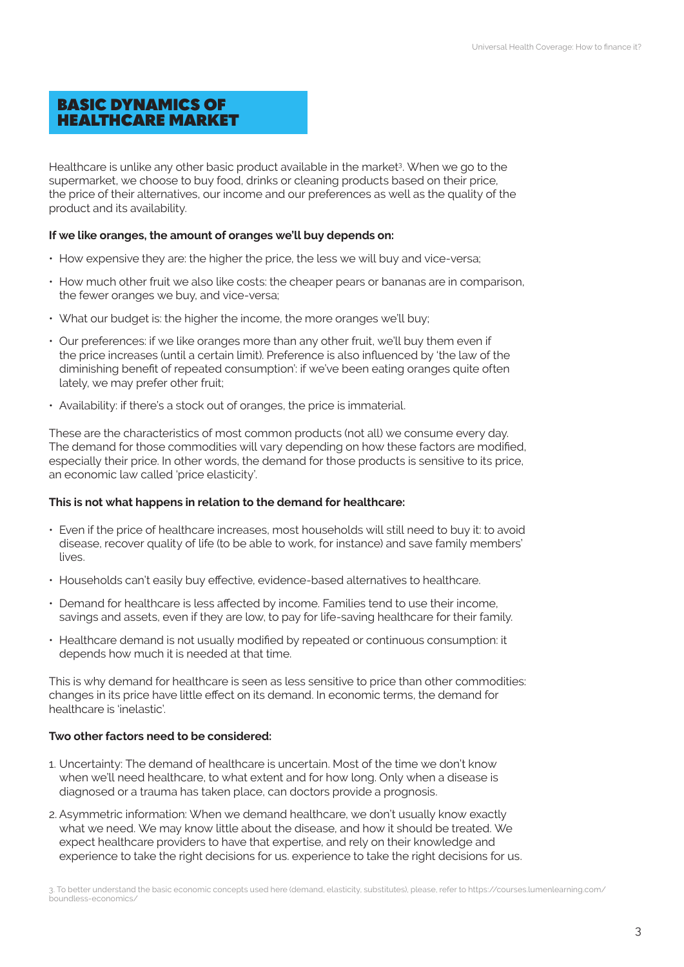# BASIC DYNAMICS OF HEALTHCARE MARKET

Healthcare is unlike any other basic product available in the market<sup>3</sup>. When we go to the supermarket, we choose to buy food, drinks or cleaning products based on their price, the price of their alternatives, our income and our preferences as well as the quality of the product and its availability.

#### **If we like oranges, the amount of oranges we'll buy depends on:**

- How expensive they are: the higher the price, the less we will buy and vice-versa;
- How much other fruit we also like costs: the cheaper pears or bananas are in comparison, the fewer oranges we buy, and vice-versa;
- What our budget is: the higher the income, the more oranges we'll buy;
- Our preferences: if we like oranges more than any other fruit, we'll buy them even if the price increases (until a certain limit). Preference is also influenced by 'the law of the diminishing benefit of repeated consumption': if we've been eating oranges quite often lately, we may prefer other fruit;
- Availability: if there's a stock out of oranges, the price is immaterial.

These are the characteristics of most common products (not all) we consume every day. The demand for those commodities will vary depending on how these factors are modified, especially their price. In other words, the demand for those products is sensitive to its price, an economic law called 'price elasticity'.

#### **This is not what happens in relation to the demand for healthcare:**

- Even if the price of healthcare increases, most households will still need to buy it: to avoid disease, recover quality of life (to be able to work, for instance) and save family members' lives.
- Households can't easily buy effective, evidence-based alternatives to healthcare.
- Demand for healthcare is less affected by income. Families tend to use their income, savings and assets, even if they are low, to pay for life-saving healthcare for their family.
- Healthcare demand is not usually modified by repeated or continuous consumption: it depends how much it is needed at that time.

This is why demand for healthcare is seen as less sensitive to price than other commodities: changes in its price have little effect on its demand. In economic terms, the demand for healthcare is 'inelastic'.

#### **Two other factors need to be considered:**

- 1. Uncertainty: The demand of healthcare is uncertain. Most of the time we don't know when we'll need healthcare, to what extent and for how long. Only when a disease is diagnosed or a trauma has taken place, can doctors provide a prognosis.
- 2. Asymmetric information: When we demand healthcare, we don't usually know exactly what we need. We may know little about the disease, and how it should be treated. We expect healthcare providers to have that expertise, and rely on their knowledge and experience to take the right decisions for us. experience to take the right decisions for us.

3. To better understand the basic economic concepts used here (demand, elasticity, substitutes), please, refer to [https://courses.lumenlearning.com/](https://courses.lumenlearning.com/boundless-economics/ ) [boundless-economics/](https://courses.lumenlearning.com/boundless-economics/ )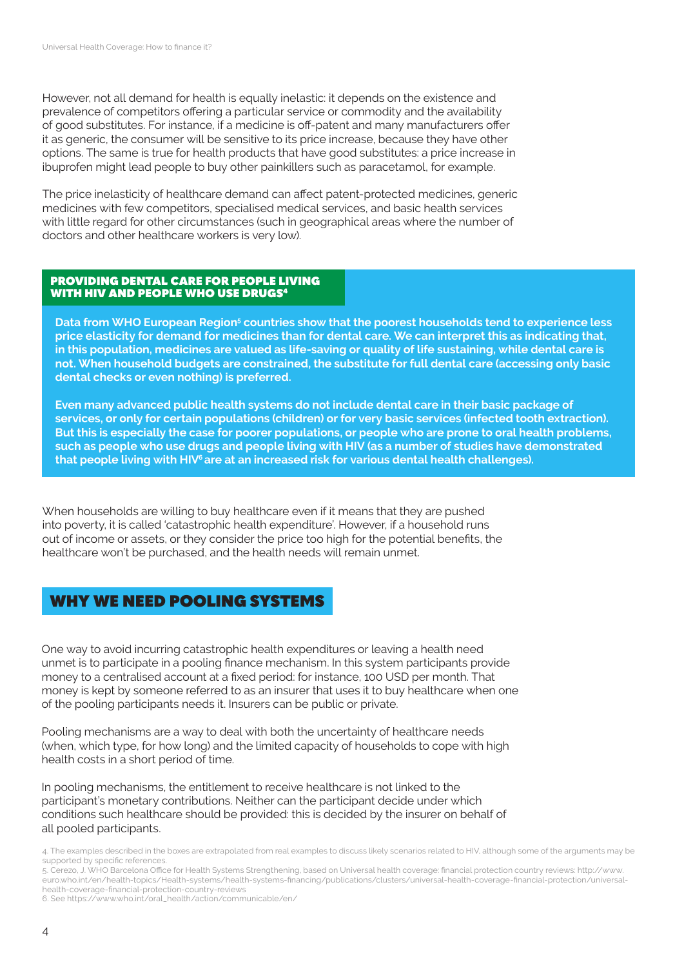However, not all demand for health is equally inelastic: it depends on the existence and prevalence of competitors offering a particular service or commodity and the availability of good substitutes. For instance, if a medicine is off-patent and many manufacturers offer it as generic, the consumer will be sensitive to its price increase, because they have other options. The same is true for health products that have good substitutes: a price increase in ibuprofen might lead people to buy other painkillers such as paracetamol, for example.

The price inelasticity of healthcare demand can affect patent-protected medicines, generic medicines with few competitors, specialised medical services, and basic health services with little regard for other circumstances (such in geographical areas where the number of doctors and other healthcare workers is very low).

#### PROVIDING DENTAL CARE FOR PEOPLE LIVING WITH HIV AND PEOPLE WHO USE DRUGS4

**Data from WHO European Region<sup>5</sup> countries show that the poorest households tend to experience less price elasticity for demand for medicines than for dental care. We can interpret this as indicating that, in this population, medicines are valued as life-saving or quality of life sustaining, while dental care is not. When household budgets are constrained, the substitute for full dental care (accessing only basic dental checks or even nothing) is preferred.** 

**Even many advanced public health systems do not include dental care in their basic package of services, or only for certain populations (children) or for very basic services (infected tooth extraction). But this is especially the case for poorer populations, or people who are prone to oral health problems, such as people who use drugs and people living with HIV (as a number of studies have demonstrated that people living with HIV6 are at an increased risk for various dental health challenges).**

When households are willing to buy healthcare even if it means that they are pushed into poverty, it is called 'catastrophic health expenditure'. However, if a household runs out of income or assets, or they consider the price too high for the potential benefits, the healthcare won't be purchased, and the health needs will remain unmet.

# WHY WE NEED POOLING SYSTEMS

One way to avoid incurring catastrophic health expenditures or leaving a health need unmet is to participate in a pooling finance mechanism. In this system participants provide money to a centralised account at a fixed period: for instance, 100 USD per month. That money is kept by someone referred to as an insurer that uses it to buy healthcare when one of the pooling participants needs it. Insurers can be public or private.

Pooling mechanisms are a way to deal with both the uncertainty of healthcare needs (when, which type, for how long) and the limited capacity of households to cope with high health costs in a short period of time.

In pooling mechanisms, the entitlement to receive healthcare is not linked to the participant's monetary contributions. Neither can the participant decide under which conditions such healthcare should be provided: this is decided by the insurer on behalf of all pooled participants.

<sup>4.</sup> The examples described in the boxes are extrapolated from real examples to discuss likely scenarios related to HIV, although some of the arguments may be supported by specific references.

<sup>5.</sup> Cerezo, J. WHO Barcelona Office for Health Systems Strengthening, based o[n Universal health coverage: financial protection country reviews](http://www.euro.who.int/en/health-topics/Health-systems/health-systems-financing/publications/clusters/universal-health-coverage-financial-protection/universal-health-coverage-financial-protection-country-reviews): [http://www.](http://www.euro.who.int/en/health-topics/Health-systems/health-systems-financing/publications/clusters/universal-health-coverage-financial-protection/universal-health-coverage-financial-protection-country-reviews) [euro.who.int/en/health-topics/Health-systems/health-systems-financing/publications/clusters/universal-health-coverage-financial-protection/universal](http://www.euro.who.int/en/health-topics/Health-systems/health-systems-financing/publications/clusters/universal-health-coverage-financial-protection/universal-health-coverage-financial-protection-country-reviews)[health-coverage-financial-protection-country-reviews](http://www.euro.who.int/en/health-topics/Health-systems/health-systems-financing/publications/clusters/universal-health-coverage-financial-protection/universal-health-coverage-financial-protection-country-reviews)

<sup>6.</sup> See [https://www.who.int/oral\\_health/action/communicable/en/](https://www.who.int/oral_health/action/communicable/en/)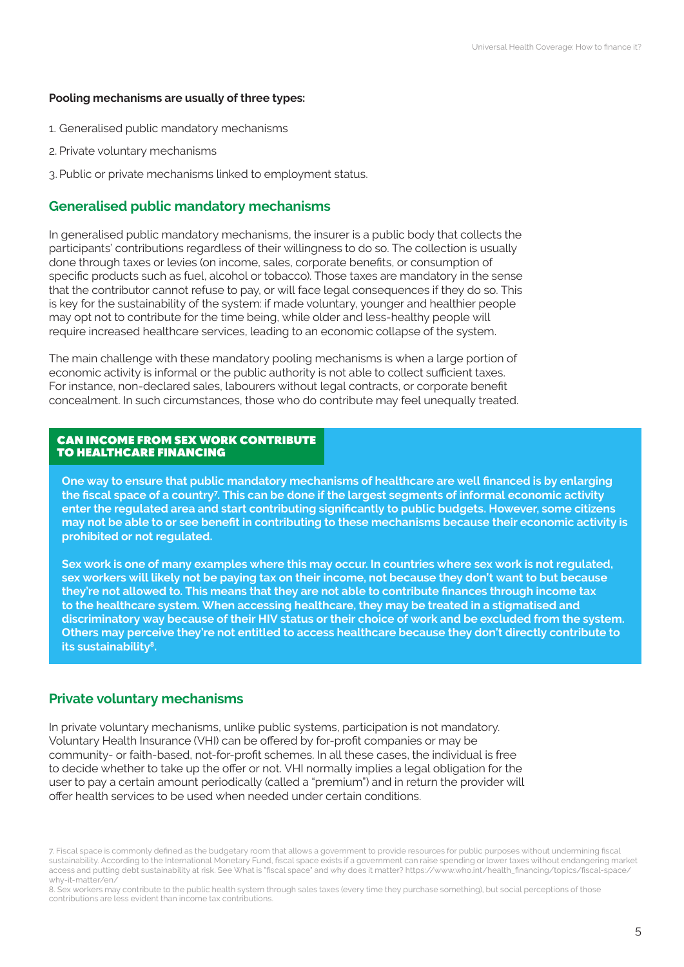#### **Pooling mechanisms are usually of three types:**

- 1. Generalised public mandatory mechanisms
- 2. Private voluntary mechanisms
- 3.Public or private mechanisms linked to employment status.

## **Generalised public mandatory mechanisms**

In generalised public mandatory mechanisms, the insurer is a public body that collects the participants' contributions regardless of their willingness to do so. The collection is usually done through taxes or levies (on income, sales, corporate benefits, or consumption of specific products such as fuel, alcohol or tobacco). Those taxes are mandatory in the sense that the contributor cannot refuse to pay, or will face legal consequences if they do so. This is key for the sustainability of the system: if made voluntary, younger and healthier people may opt not to contribute for the time being, while older and less-healthy people will require increased healthcare services, leading to an economic collapse of the system.

The main challenge with these mandatory pooling mechanisms is when a large portion of economic activity is informal or the public authority is not able to collect sufficient taxes. For instance, non-declared sales, labourers without legal contracts, or corporate benefit concealment. In such circumstances, those who do contribute may feel unequally treated.

#### CAN INCOME FROM SEX WORK CONTRIBUTE TO HEALTHCARE FINANCING

**One way to ensure that public mandatory mechanisms of healthcare are well financed is by enlarging the fiscal space of a country<sup>7</sup> . This can be done if the largest segments of informal economic activity enter the regulated area and start contributing significantly to public budgets. However, some citizens may not be able to or see benefit in contributing to these mechanisms because their economic activity is prohibited or not regulated.** 

**Sex work is one of many examples where this may occur. In countries where sex work is not regulated, sex workers will likely not be paying tax on their income, not because they don't want to but because they're not allowed to. This means that they are not able to contribute finances through income tax to the healthcare system. When accessing healthcare, they may be treated in a stigmatised and discriminatory way because of their HIV status or their choice of work and be excluded from the system. Others may perceive they're not entitled to access healthcare because they don't directly contribute to its sustainability8.** 

## **Private voluntary mechanisms**

In private voluntary mechanisms, unlike public systems, participation is not mandatory. Voluntary Health Insurance (VHI) can be offered by for-profit companies or may be community- or faith-based, not-for-profit schemes. In all these cases, the individual is free to decide whether to take up the offer or not. VHI normally implies a legal obligation for the user to pay a certain amount periodically (called a "premium") and in return the provider will offer health services to be used when needed under certain conditions.

<sup>7.</sup> Fiscal space is commonly defined as the budgetary room that allows a government to provide resources for public purposes without undermining fiscal sustainability. According to the International Monetary Fund, fiscal space exists if a government can raise spending or lower taxes without endangering market access and putting debt sustainability at risk. See [What is "fiscal space" and why does it matter?](https://www.who.int/health_financing/topics/fiscal-space/why-it-matter/en/) [https://www.who.int/health\\_financing/topics/fiscal-space/](https://www.who.int/health_financing/topics/fiscal-space/why-it-matter/en/) [why-it-matter/en/](https://www.who.int/health_financing/topics/fiscal-space/why-it-matter/en/)

<sup>8.</sup> Sex workers may contribute to the public health system through sales taxes (every time they purchase something), but social perceptions of those contributions are less evident than income tax contributions.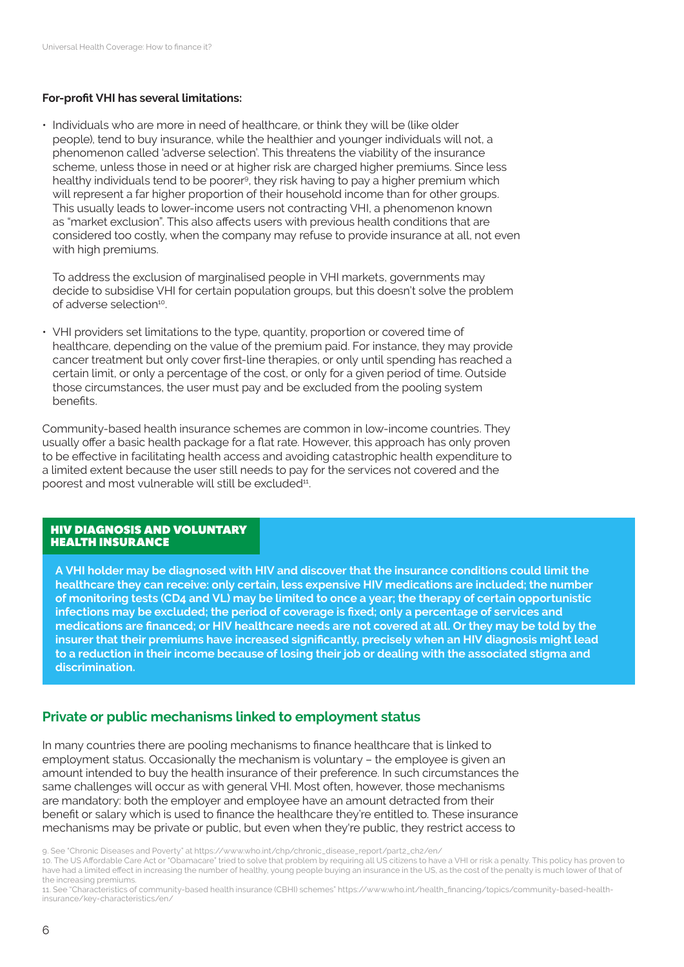#### **For-profit VHI has several limitations:**

• Individuals who are more in need of healthcare, or think they will be (like older people), tend to buy insurance, while the healthier and younger individuals will not, a phenomenon called 'adverse selection'. This threatens the viability of the insurance scheme, unless those in need or at higher risk are charged higher premiums. Since less healthy individuals tend to be poorer<sup>9</sup>, they risk having to pay a higher premium which will represent a far higher proportion of their household income than for other groups. This usually leads to lower-income users not contracting VHI, a phenomenon known as "market exclusion". This also affects users with previous health conditions that are considered too costly, when the company may refuse to provide insurance at all, not even with high premiums.

To address the exclusion of marginalised people in VHI markets, governments may decide to subsidise VHI for certain population groups, but this doesn't solve the problem of adverse selection<sup>10</sup>.

• VHI providers set limitations to the type, quantity, proportion or covered time of healthcare, depending on the value of the premium paid. For instance, they may provide cancer treatment but only cover first-line therapies, or only until spending has reached a certain limit, or only a percentage of the cost, or only for a given period of time. Outside those circumstances, the user must pay and be excluded from the pooling system benefits.

Community-based health insurance schemes are common in low-income countries. They usually offer a basic health package for a flat rate. However, this approach has only proven to be effective in facilitating health access and avoiding catastrophic health expenditure to a limited extent because the user still needs to pay for the services not covered and the poorest and most vulnerable will still be excluded<sup>11</sup>.

#### HIV DIAGNOSIS AND VOLUNTARY HEALTH INSURANCE

**A VHI holder may be diagnosed with HIV and discover that the insurance conditions could limit the healthcare they can receive: only certain, less expensive HIV medications are included; the number of monitoring tests (CD4 and VL) may be limited to once a year; the therapy of certain opportunistic infections may be excluded; the period of coverage is fixed; only a percentage of services and medications are financed; or HIV healthcare needs are not covered at all. Or they may be told by the insurer that their premiums have increased significantly, precisely when an HIV diagnosis might lead to a reduction in their income because of losing their job or dealing with the associated stigma and discrimination.** 

## **Private or public mechanisms linked to employment status**

In many countries there are pooling mechanisms to finance healthcare that is linked to employment status. Occasionally the mechanism is voluntary – the employee is given an amount intended to buy the health insurance of their preference. In such circumstances the same challenges will occur as with general VHI. Most often, however, those mechanisms are mandatory: both the employer and employee have an amount detracted from their benefit or salary which is used to finance the healthcare they're entitled to. These insurance mechanisms may be private or public, but even when they're public, they restrict access to

10. The US Affordable Care Act or "Obamacare" tried to solve that problem by requiring all US citizens to have a VHI or risk a penalty. This policy has proven to have had a limited effect in increasing the number of healthy, young people buying an insurance in the US, as the cost of the penalty is much lower of that of the increasing premiums.

11. See ["Characteristics of community-based health insurance \(CBHI\) schemes"](https://www.who.int/health_financing/topics/community-based-health-insurance/key-characteristics/en/) [https://www.who.int/health\\_financing/topics/community-based-health](https://www.who.int/health_financing/topics/community-based-health-insurance/key-characteristics/en/)[insurance/key-characteristics/en/](https://www.who.int/health_financing/topics/community-based-health-insurance/key-characteristics/en/)

<sup>9.</sup> See "Chronic Diseases and Poverty" at https://www.who.int/chp/chronic\_disease\_report/part2\_ch2/en/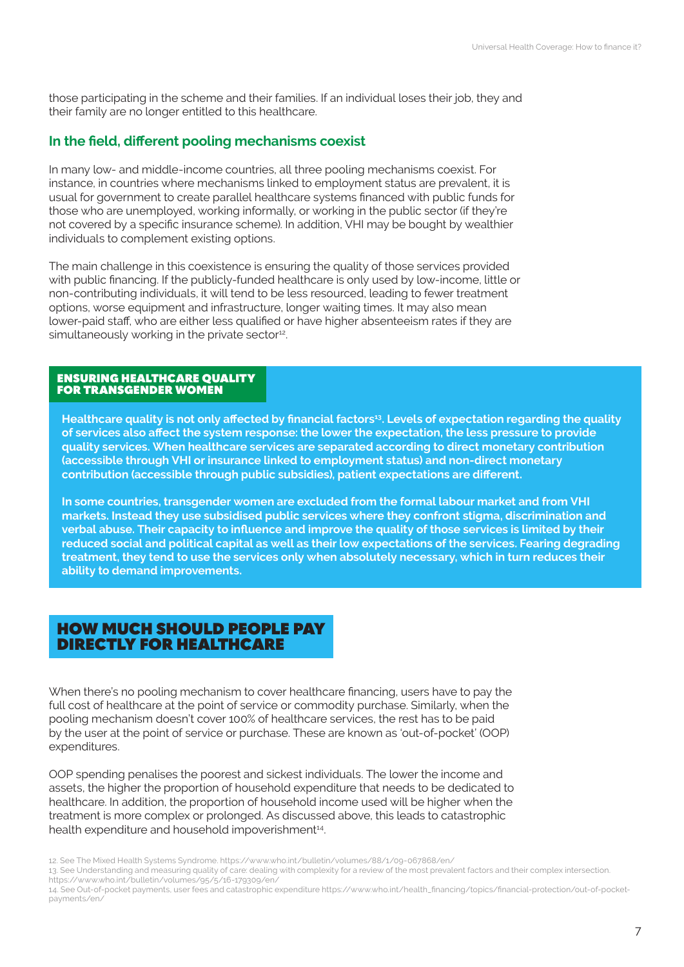those participating in the scheme and their families. If an individual loses their job, they and their family are no longer entitled to this healthcare.

### **In the field, different pooling mechanisms coexist**

In many low- and middle-income countries, all three pooling mechanisms coexist. For instance, in countries where mechanisms linked to employment status are prevalent, it is usual for government to create parallel healthcare systems financed with public funds for those who are unemployed, working informally, or working in the public sector (if they're not covered by a specific insurance scheme). In addition, VHI may be bought by wealthier individuals to complement existing options.

The main challenge in this coexistence is ensuring the quality of those services provided with public financing. If the publicly-funded healthcare is only used by low-income, little or non-contributing individuals, it will tend to be less resourced, leading to fewer treatment options, worse equipment and infrastructure, longer waiting times. It may also mean lower-paid staff, who are either less qualified or have higher absenteeism rates if they are simultaneously working in the private sector<sup>12</sup>.

#### ENSURING HEALTHCARE QUALITY FOR TRANSGENDER WOMEN

**Healthcare quality is not only affected by financial factors13. Levels of expectation regarding the quality of services also affect the system response: the lower the expectation, the less pressure to provide quality services. When healthcare services are separated according to direct monetary contribution (accessible through VHI or insurance linked to employment status) and non-direct monetary contribution (accessible through public subsidies), patient expectations are different.** 

**In some countries, transgender women are excluded from the formal labour market and from VHI markets. Instead they use subsidised public services where they confront stigma, discrimination and verbal abuse. Their capacity to influence and improve the quality of those services is limited by their reduced social and political capital as well as their low expectations of the services. Fearing degrading treatment, they tend to use the services only when absolutely necessary, which in turn reduces their ability to demand improvements.** 

# HOW MUCH SHOULD PEOPLE PAY DIRECTLY FOR HEALTHCARE

When there's no pooling mechanism to cover healthcare financing, users have to pay the full cost of healthcare at the point of service or commodity purchase. Similarly, when the pooling mechanism doesn't cover 100% of healthcare services, the rest has to be paid by the user at the point of service or purchase. These are known as 'out-of-pocket' (OOP) expenditures.

OOP spending penalises the poorest and sickest individuals. The lower the income and assets, the higher the proportion of household expenditure that needs to be dedicated to healthcare. In addition, the proportion of household income used will be higher when the treatment is more complex or prolonged. As discussed above, this leads to catastrophic health expenditure and household impoverishment<sup>14</sup>.

13. See [Understanding and measuring quality of care: dealing with complexity](https://www.who.int/bulletin/volumes/95/5/16-179309/en/) for a review of the most prevalent factors and their complex intersection. <https://www.who.int/bulletin/volumes/95/5/16-179309/en/>

<sup>12.</sup> See [The Mixed Health Systems Syndrome.](https://www.who.int/bulletin/volumes/88/1/09-067868/en/) <https://www.who.int/bulletin/volumes/88/1/09-067868/en/>

<sup>14.</sup> See [Out-of-pocket payments, user fees and catastrophic expenditure](https://www.who.int/health_financing/topics/financial-protection/out-of-pocket-payments/en/) [https://www.who.int/health\\_financing/topics/financial-protection/out-of-pocket](https://www.who.int/health_financing/topics/financial-protection/out-of-pocket-payments/en/)[payments/en/](https://www.who.int/health_financing/topics/financial-protection/out-of-pocket-payments/en/)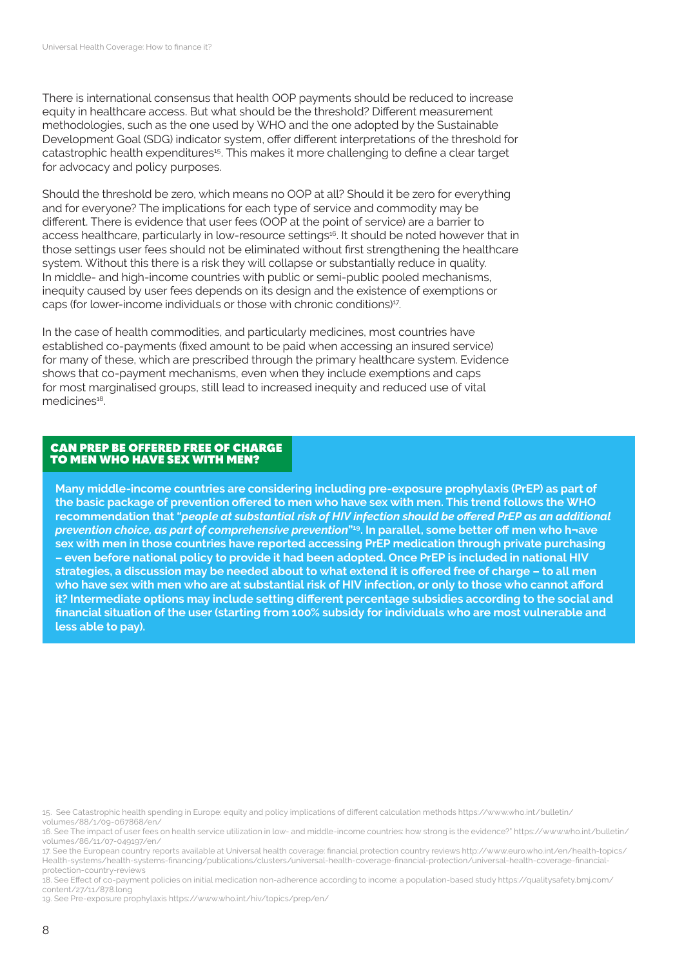There is international consensus that health OOP payments should be reduced to increase equity in healthcare access. But what should be the threshold? Different measurement methodologies, such as the one used by WHO and the one adopted by the Sustainable Development Goal (SDG) indicator system, offer different interpretations of the threshold for catastrophic health expenditures<sup>15</sup>. This makes it more challenging to define a clear target for advocacy and policy purposes.

Should the threshold be zero, which means no OOP at all? Should it be zero for everything and for everyone? The implications for each type of service and commodity may be different. There is evidence that user fees (OOP at the point of service) are a barrier to access healthcare, particularly in low-resource settings<sup>16</sup>. It should be noted however that in those settings user fees should not be eliminated without first strengthening the healthcare system. Without this there is a risk they will collapse or substantially reduce in quality. In middle- and high-income countries with public or semi-public pooled mechanisms, inequity caused by user fees depends on its design and the existence of exemptions or caps (for lower-income individuals or those with chronic conditions)17.

In the case of health commodities, and particularly medicines, most countries have established co-payments (fixed amount to be paid when accessing an insured service) for many of these, which are prescribed through the primary healthcare system. Evidence shows that co-payment mechanisms, even when they include exemptions and caps for most marginalised groups, still lead to increased inequity and reduced use of vital medicines<sup>18</sup>.

#### CAN PREP BE OFFERED FREE OF CHARGE TO MEN WHO HAVE SEX WITH MEN?

**Many middle-income countries are considering including pre-exposure prophylaxis (PrEP) as part of the basic package of prevention offered to men who have sex with men. This trend follows the WHO recommendation that "***people at substantial risk of HIV infection should be offered PrEP as an additional prevention choice, as part of comprehensive prevention***"19. In parallel, some better off men who h¬ave sex with men in those countries have reported accessing PrEP medication through private purchasing – even before national policy to provide it had been adopted. Once PrEP is included in national HIV strategies, a discussion may be needed about to what extend it is offered free of charge – to all men who have sex with men who are at substantial risk of HIV infection, or only to those who cannot afford it? Intermediate options may include setting different percentage subsidies according to the social and financial situation of the user (starting from 100% subsidy for individuals who are most vulnerable and less able to pay).** 

19. See [Pre-exposure prophylaxis](https://www.who.int/hiv/topics/prep/en/) <https://www.who.int/hiv/topics/prep/en/>

<sup>15.</sup> See [Catastrophic health spending in Europe: equity and policy implications of different calculation methods](https://www.who.int/bulletin/volumes/88/1/09-067868/en/) [https://www.who.int/bulletin/](https://www.who.int/bulletin/volumes/88/1/09-067868/en/) [volumes/88/1/09-067868/en/](https://www.who.int/bulletin/volumes/88/1/09-067868/en/)

<sup>16.</sup> See [The impact of user fees on health service utilization in low- and middle-income countries: how strong is the evidence?"](https://www.who.int/bulletin/volumes/86/11/07-049197/en/) [https://www.who.int/bulletin/](https://www.who.int/bulletin/volumes/86/11/07-049197/en/) [volumes/86/11/07-049197/en/](https://www.who.int/bulletin/volumes/86/11/07-049197/en/)

<sup>17.</sup> See the [European country reports available at Universal health coverage: financial protection country reviews http://www.euro.who.int/en/health-topics/](http://www.euro.who.int/en/health-topics/Health-systems/health-systems-financing/publications/clusters/universal-health-coverage-financial-protection/universal-health-coverage-financial-protection-country-reviews) [Health-systems/health-systems-financing/publications/clusters/universal-health-coverage-financial-protection/universal-health-coverage-financial](http://www.euro.who.int/en/health-topics/Health-systems/health-systems-financing/publications/clusters/universal-health-coverage-financial-protection/universal-health-coverage-financial-protection-country-reviews)[protection-country-reviews](http://www.euro.who.int/en/health-topics/Health-systems/health-systems-financing/publications/clusters/universal-health-coverage-financial-protection/universal-health-coverage-financial-protection-country-reviews)

<sup>18.</sup> See [Effect of co-payment policies on initial medication non-adherence according to income: a population-based study](https://qualitysafety.bmj.com/content/27/11/878.long) [https://qualitysafety.bmj.com/](https://qualitysafety.bmj.com/content/27/11/878.long) [content/27/11/878.long](https://qualitysafety.bmj.com/content/27/11/878.long)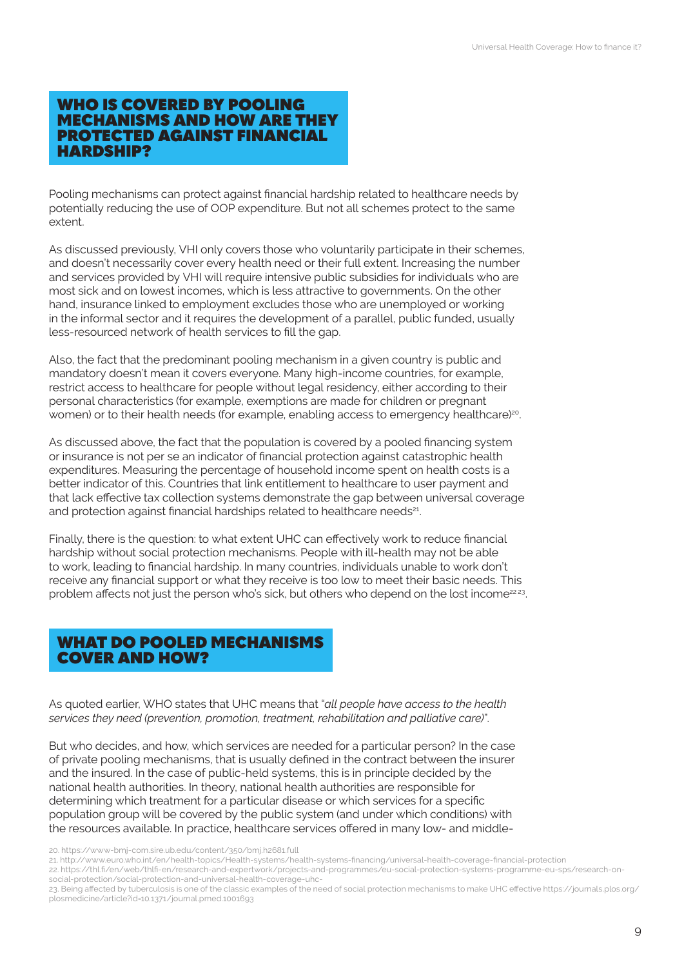## WHO IS COVERED BY POOLING MECHANISMS AND HOW ARE THEY PROTECTED AGAINST FINANCIAL HARDSHIP?

Pooling mechanisms can protect against financial hardship related to healthcare needs by potentially reducing the use of OOP expenditure. But not all schemes protect to the same extent.

As discussed previously, VHI only covers those who voluntarily participate in their schemes, and doesn't necessarily cover every health need or their full extent. Increasing the number and services provided by VHI will require intensive public subsidies for individuals who are most sick and on lowest incomes, which is less attractive to governments. On the other hand, insurance linked to employment excludes those who are unemployed or working in the informal sector and it requires the development of a parallel, public funded, usually less-resourced network of health services to fill the gap.

Also, the fact that the predominant pooling mechanism in a given country is public and mandatory doesn't mean it covers everyone. Many high-income countries, for example, restrict access to healthcare for people without legal residency, either according to their personal characteristics (for example, exemptions are made for children or pregnant women) or to their health needs (for example, enabling access to emergency healthcare)<sup>20</sup>.

As discussed above, the fact that the population is covered by a pooled financing system or insurance is not per se an indicator of financial protection against catastrophic health expenditures. Measuring the percentage of household income spent on health costs is a better indicator of this. Countries that link entitlement to healthcare to user payment and that lack effective tax collection systems demonstrate the gap between universal coverage and protection against financial hardships related to healthcare needs<sup>21</sup>.

Finally, there is the question: to what extent UHC can effectively work to reduce financial hardship without social protection mechanisms. People with ill-health may not be able to work, leading to financial hardship. In many countries, individuals unable to work don't receive any financial support or what they receive is too low to meet their basic needs. This problem affects not just the person who's sick, but others who depend on the lost income<sup>22 23</sup>.

# WHAT DO POOLED MECHANISMS COVER AND HOW?

As quoted earlier, WHO states that UHC means that "*all people have access to the health services they need (prevention, promotion, treatment, rehabilitation and palliative care)*".

But who decides, and how, which services are needed for a particular person? In the case of private pooling mechanisms, that is usually defined in the contract between the insurer and the insured. In the case of public-held systems, this is in principle decided by the national health authorities. In theory, national health authorities are responsible for determining which treatment for a particular disease or which services for a specific population group will be covered by the public system (and under which conditions) with the resources available. In practice, healthcare services offered in many low- and middle-

21. <http://www.euro.who.int/en/health-topics/Health-systems/health-systems-financing/universal-health-coverage-financial-protection>

22. [https://thl.fi/en/web/thlfi-en/research-and-expertwork/projects-and-programmes/eu-social-protection-systems-programme-eu-sps/research-on](https://thl.fi/en/web/thlfi-en/research-and-expertwork/projects-and-programmes/eu-social-protection-systems-programme-eu-sps/research-on-social-protection/social-protection-and-universal-health-coverage-uhc-)[social-protection/social-protection-and-universal-health-coverage-uhc-](https://thl.fi/en/web/thlfi-en/research-and-expertwork/projects-and-programmes/eu-social-protection-systems-programme-eu-sps/research-on-social-protection/social-protection-and-universal-health-coverage-uhc-)

<sup>20.</sup><https://www-bmj-com.sire.ub.edu/content/350/bmj.h2681.full>

<sup>23.</sup> Being affected by tuberculosis is one of the classic examples of the need of social protection mechanisms to make UHC effective [https://journals.plos.org/](https://journals.plos.org/plosmedicine/article?id=10.1371/journal.pmed.1001693) [plosmedicine/article?id=10.1371/journal.pmed.1001693](https://journals.plos.org/plosmedicine/article?id=10.1371/journal.pmed.1001693)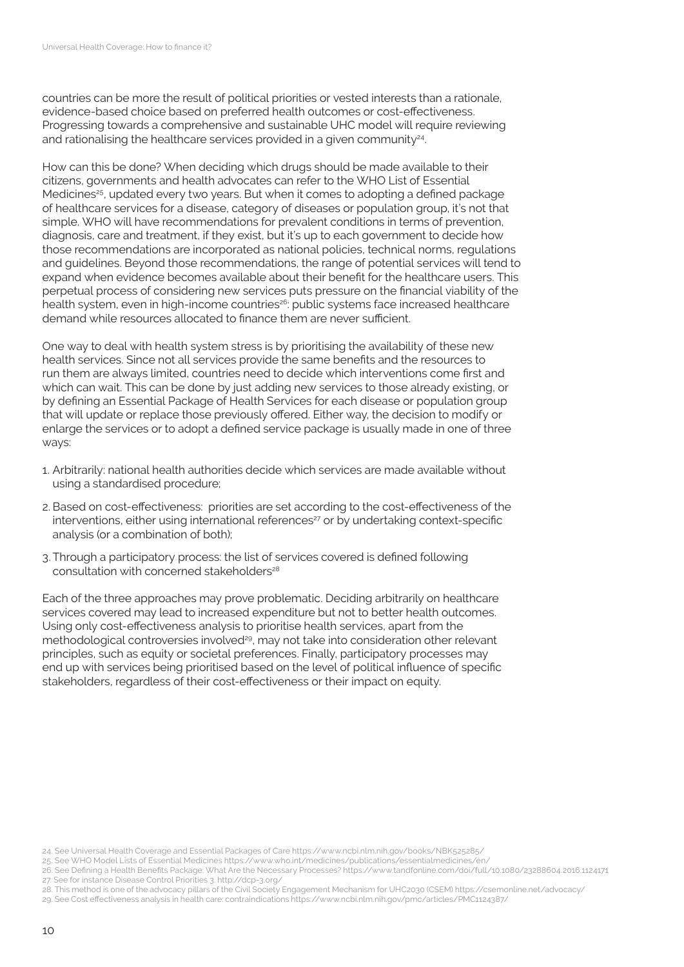countries can be more the result of political priorities or vested interests than a rationale, evidence-based choice based on preferred health outcomes or cost-effectiveness. Progressing towards a comprehensive and sustainable UHC model will require reviewing and rationalising the healthcare services provided in a given community<sup>24</sup>.

How can this be done? When deciding which drugs should be made available to their citizens, governments and health advocates can refer to the WHO List of Essential Medicines<sup>25</sup>, updated every two years. But when it comes to adopting a defined package of healthcare services for a disease, category of diseases or population group, it's not that simple. WHO will have recommendations for prevalent conditions in terms of prevention, diagnosis, care and treatment, if they exist, but it's up to each government to decide how those recommendations are incorporated as national policies, technical norms, regulations and guidelines. Beyond those recommendations, the range of potential services will tend to expand when evidence becomes available about their benefit for the healthcare users. This perpetual process of considering new services puts pressure on the financial viability of the health system, even in high-income countries<sup>26</sup>: public systems face increased healthcare demand while resources allocated to finance them are never sufficient.

One way to deal with health system stress is by prioritising the availability of these new health services. Since not all services provide the same benefits and the resources to run them are always limited, countries need to decide which interventions come first and which can wait. This can be done by just adding new services to those already existing, or by defining an Essential Package of Health Services for each disease or population group that will update or replace those previously offered. Either way, the decision to modify or enlarge the services or to adopt a defined service package is usually made in one of three ways:

- 1. Arbitrarily: national health authorities decide which services are made available without using a standardised procedure;
- 2. Based on cost-effectiveness: priorities are set according to the cost-effectiveness of the  $inter$ nterventions, either using international references<sup>27</sup> or by undertaking context-specific analysis (or a combination of both);
- 3. Through a participatory process: the list of services covered is defined following consultation with concerned stakeholders<sup>28</sup>

Each of the three approaches may prove problematic. Deciding arbitrarily on healthcare services covered may lead to increased expenditure but not to better health outcomes. Using only cost-effectiveness analysis to prioritise health services, apart from the methodological controversies involved<sup>29</sup>, may not take into consideration other relevant principles, such as equity or societal preferences. Finally, participatory processes may end up with services being prioritised based on the level of political influence of specific stakeholders, regardless of their cost-effectiveness or their impact on equity.

24. See [Universal Health Coverage and Essential Packages of Care](https://www.ncbi.nlm.nih.gov/books/NBK525285/) <https://www.ncbi.nlm.nih.gov/books/NBK525285/>

25. See [WHO Model Lists of Essential Medicines](https://www.who.int/medicines/publications/essentialmedicines/en/) <https://www.who.int/medicines/publications/essentialmedicines/en/>

- 28. This method is one of the advocacy pillars of the [Civil Society Engagement Mechanism for UHC2030 \(CSEM\)](https://csemonline.net/advocacy/) <https://csemonline.net/advocacy/>
- 29. See [Cost effectiveness analysis in health care: contraindications](https://www.ncbi.nlm.nih.gov/pmc/articles/PMC1124387/) <https://www.ncbi.nlm.nih.gov/pmc/articles/PMC1124387/>

<sup>26.</sup> See [Defining a Health Benefits Package: What Are the Necessary Processes?](https://www.tandfonline.com/doi/full/10.1080/23288604.2016.1124171) <https://www.tandfonline.com/doi/full/10.1080/23288604.2016.1124171> 27. See for instance [Disease Control Priorities 3. http://dcp-3.org/](http://dcp-3.org/)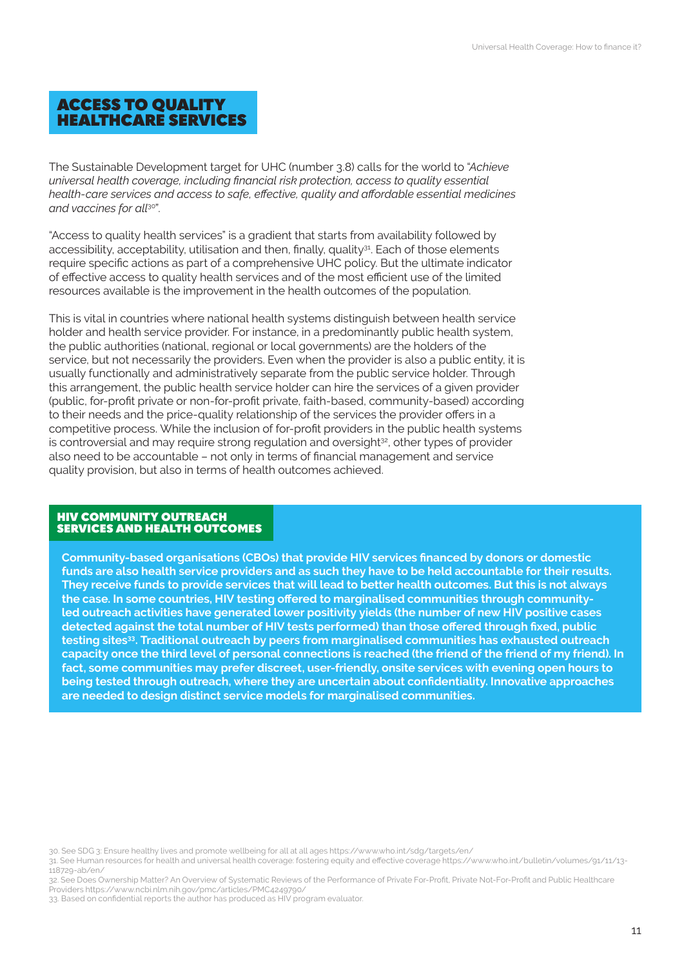# ACCESS TO QUALITY HEALTHCARE SERVICES

The Sustainable Development target for UHC (number 3.8) calls for the world to "*Achieve universal health coverage, including financial risk protection, access to quality essential health-care services and access to safe, effective, quality and affordable essential medicines and vaccines for all*30".

"Access to quality health services" is a gradient that starts from availability followed by accessibility, acceptability, utilisation and then, finally, quality $31$ . Each of those elements require specific actions as part of a comprehensive UHC policy. But the ultimate indicator of effective access to quality health services and of the most efficient use of the limited resources available is the improvement in the health outcomes of the population.

This is vital in countries where national health systems distinguish between health service holder and health service provider. For instance, in a predominantly public health system, the public authorities (national, regional or local governments) are the holders of the service, but not necessarily the providers. Even when the provider is also a public entity, it is usually functionally and administratively separate from the public service holder. Through this arrangement, the public health service holder can hire the services of a given provider (public, for-profit private or non-for-profit private, faith-based, community-based) according to their needs and the price-quality relationship of the services the provider offers in a competitive process. While the inclusion of for-profit providers in the public health systems is controversial and may require strong regulation and oversight<sup>32</sup>, other types of provider also need to be accountable – not only in terms of financial management and service quality provision, but also in terms of health outcomes achieved.

#### HIV COMMUNITY OUTREACH SERVICES AND HEALTH OUTCOMES

**Community-based organisations (CBOs) that provide HIV services financed by donors or domestic funds are also health service providers and as such they have to be held accountable for their results. They receive funds to provide services that will lead to better health outcomes. But this is not always the case. In some countries, HIV testing offered to marginalised communities through communityled outreach activities have generated lower positivity yields (the number of new HIV positive cases detected against the total number of HIV tests performed) than those offered through fixed, public testing sites33. Traditional outreach by peers from marginalised communities has exhausted outreach capacity once the third level of personal connections is reached (the friend of the friend of my friend). In fact, some communities may prefer discreet, user-friendly, onsite services with evening open hours to being tested through outreach, where they are uncertain about confidentiality. Innovative approaches are needed to design distinct service models for marginalised communities.** 

31. See [Human resources for health and universal health coverage: fostering equity and effective coverage](https://www.who.int/sdg/targets/en/) [https://www.who.int/bulletin/volumes/91/11/13-](https://www.who.int/bulletin/volumes/91/11/13-118729-ab/en/) [118729-ab/en/](https://www.who.int/bulletin/volumes/91/11/13-118729-ab/en/)

<sup>30.</sup> See [SDG 3: Ensure healthy lives and promote wellbeing for all at all ages](https://www.who.int/sdg/targets/en/) <https://www.who.int/sdg/targets/en/>

<sup>32.</sup> See [Does Ownership Matter? An Overview of Systematic Reviews of the Performance of Private For-Profit, Private Not-For-Profit and Public Healthcare](https://www.ncbi.nlm.nih.gov/pmc/articles/PMC4249790/)  [Providers](https://www.ncbi.nlm.nih.gov/pmc/articles/PMC4249790/) <https://www.ncbi.nlm.nih.gov/pmc/articles/PMC4249790/>

<sup>33.</sup> Based on confidential reports the author has produced as HIV program evaluator.